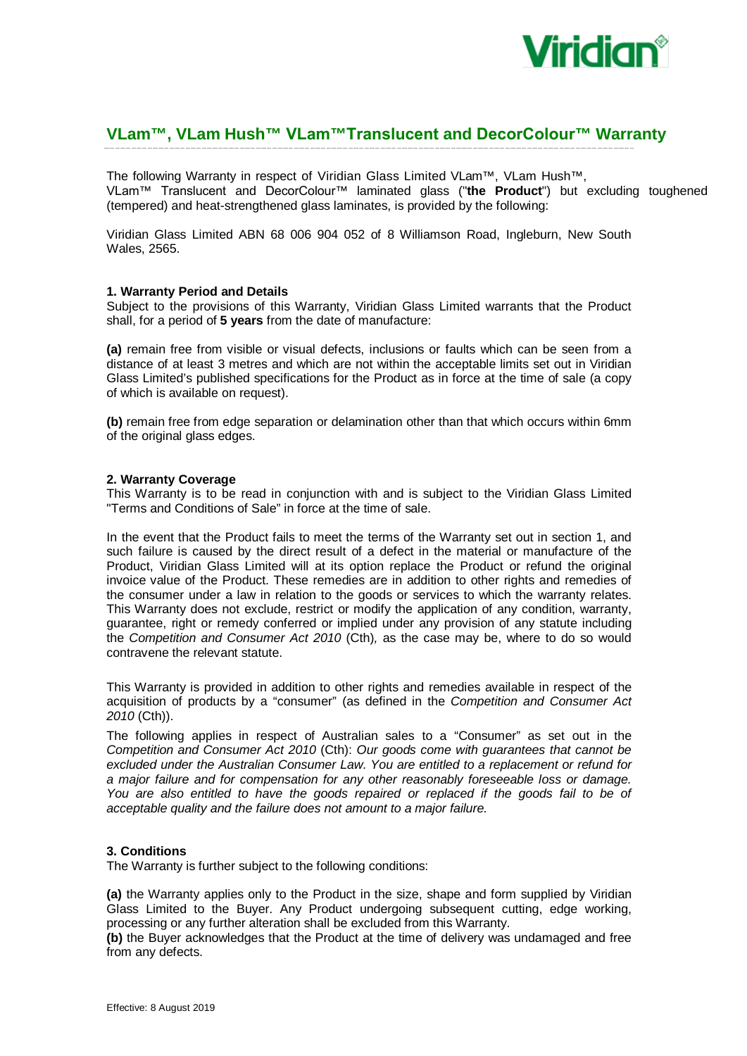

# **VLam™, VLam Hush™ VLam™Translucent and DecorColour™ Warranty**

The following Warranty in respect of Viridian Glass Limited VLam™, VLam Hush™, VLam™ Translucent and DecorColour™ laminated glass ("**the Product**") but excluding toughened (tempered) and heat-strengthened glass laminates, is provided by the following:

Viridian Glass Limited ABN 68 006 904 052 of 8 Williamson Road, Ingleburn, New South Wales, 2565.

#### **1. Warranty Period and Details**

Subject to the provisions of this Warranty, Viridian Glass Limited warrants that the Product shall, for a period of **5 years** from the date of manufacture:

**(a)** remain free from visible or visual defects, inclusions or faults which can be seen from a distance of at least 3 metres and which are not within the acceptable limits set out in Viridian Glass Limited's published specifications for the Product as in force at the time of sale (a copy of which is available on request).

**(b)** remain free from edge separation or delamination other than that which occurs within 6mm of the original glass edges.

## **2. Warranty Coverage**

This Warranty is to be read in conjunction with and is subject to the Viridian Glass Limited "Terms and Conditions of Sale" in force at the time of sale.

In the event that the Product fails to meet the terms of the Warranty set out in section 1, and such failure is caused by the direct result of a defect in the material or manufacture of the Product, Viridian Glass Limited will at its option replace the Product or refund the original invoice value of the Product. These remedies are in addition to other rights and remedies of the consumer under a law in relation to the goods or services to which the warranty relates. This Warranty does not exclude, restrict or modify the application of any condition, warranty, guarantee, right or remedy conferred or implied under any provision of any statute including the *Competition and Consumer Act 2010* (Cth)*,* as the case may be, where to do so would contravene the relevant statute.

This Warranty is provided in addition to other rights and remedies available in respect of the acquisition of products by a "consumer" (as defined in the *Competition and Consumer Act 2010* (Cth)).

The following applies in respect of Australian sales to a "Consumer" as set out in the *Competition and Consumer Act 2010* (Cth): *Our goods come with guarantees that cannot be excluded under the Australian Consumer Law. You are entitled to a replacement or refund for a major failure and for compensation for any other reasonably foreseeable loss or damage. You are also entitled to have the goods repaired or replaced if the goods fail to be of acceptable quality and the failure does not amount to a major failure.*

#### **3. Conditions**

The Warranty is further subject to the following conditions:

**(a)** the Warranty applies only to the Product in the size, shape and form supplied by Viridian Glass Limited to the Buyer. Any Product undergoing subsequent cutting, edge working, processing or any further alteration shall be excluded from this Warranty.

**(b)** the Buyer acknowledges that the Product at the time of delivery was undamaged and free from any defects.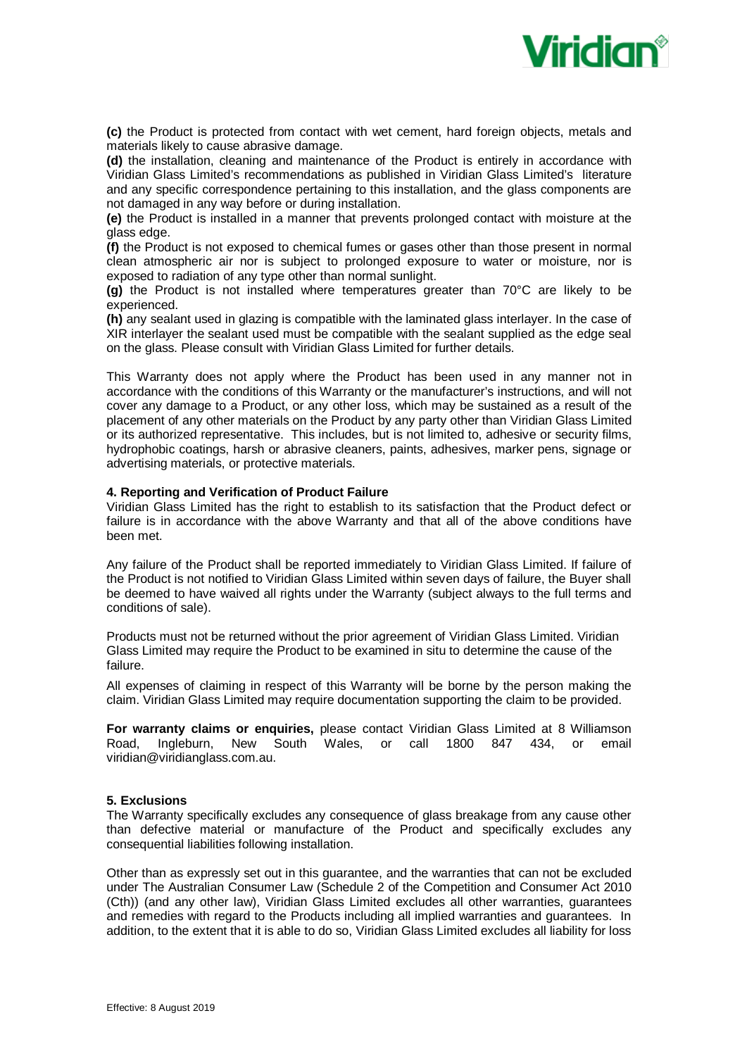

**(c)** the Product is protected from contact with wet cement, hard foreign objects, metals and materials likely to cause abrasive damage.

**(d)** the installation, cleaning and maintenance of the Product is entirely in accordance with Viridian Glass Limited's recommendations as published in Viridian Glass Limited's literature and any specific correspondence pertaining to this installation, and the glass components are not damaged in any way before or during installation.

**(e)** the Product is installed in a manner that prevents prolonged contact with moisture at the glass edge.

**(f)** the Product is not exposed to chemical fumes or gases other than those present in normal clean atmospheric air nor is subject to prolonged exposure to water or moisture, nor is exposed to radiation of any type other than normal sunlight.

**(g)** the Product is not installed where temperatures greater than 70°C are likely to be experienced.

**(h)** any sealant used in glazing is compatible with the laminated glass interlayer. In the case of XIR interlayer the sealant used must be compatible with the sealant supplied as the edge seal on the glass. Please consult with Viridian Glass Limited for further details.

This Warranty does not apply where the Product has been used in any manner not in accordance with the conditions of this Warranty or the manufacturer's instructions, and will not cover any damage to a Product, or any other loss, which may be sustained as a result of the placement of any other materials on the Product by any party other than Viridian Glass Limited or its authorized representative. This includes, but is not limited to, adhesive or security films, hydrophobic coatings, harsh or abrasive cleaners, paints, adhesives, marker pens, signage or advertising materials, or protective materials.

#### **4. Reporting and Verification of Product Failure**

Viridian Glass Limited has the right to establish to its satisfaction that the Product defect or failure is in accordance with the above Warranty and that all of the above conditions have been met.

Any failure of the Product shall be reported immediately to Viridian Glass Limited. If failure of the Product is not notified to Viridian Glass Limited within seven days of failure, the Buyer shall be deemed to have waived all rights under the Warranty (subject always to the full terms and conditions of sale).

Products must not be returned without the prior agreement of Viridian Glass Limited. Viridian Glass Limited may require the Product to be examined in situ to determine the cause of the failure.

All expenses of claiming in respect of this Warranty will be borne by the person making the claim. Viridian Glass Limited may require documentation supporting the claim to be provided.

**For warranty claims or enquiries,** please contact Viridian Glass Limited at 8 Williamson Road, Ingleburn, New South Wales, or call 1800 847 434, or email viridian@viridianglass.com.au.

#### **5. Exclusions**

The Warranty specifically excludes any consequence of glass breakage from any cause other than defective material or manufacture of the Product and specifically excludes any consequential liabilities following installation.

Other than as expressly set out in this guarantee, and the warranties that can not be excluded under The Australian Consumer Law (Schedule 2 of the Competition and Consumer Act 2010 (Cth)) (and any other law), Viridian Glass Limited excludes all other warranties, guarantees and remedies with regard to the Products including all implied warranties and guarantees. In addition, to the extent that it is able to do so, Viridian Glass Limited excludes all liability for loss